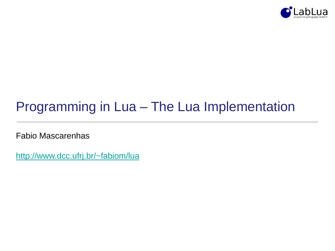

# Programming in Lua – The Lua Implementation

Fabio Mascarenhas

<http://www.dcc.ufrj.br/~fabiom/lua>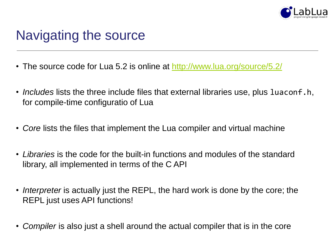

# Navigating the source

- The source code for Lua 5.2 is online at<http://www.lua.org/source/5.2/>
- *Includes* lists the three include files that external libraries use, plus luaconf.h, for compile-time configuratio of Lua
- *Core* lists the files that implement the Lua compiler and virtual machine
- *Libraries* is the code for the built-in functions and modules of the standard library, all implemented in terms of the C API
- *Interpreter* is actually just the REPL, the hard work is done by the core; the REPL just uses API functions!
- *Compiler* is also just a shell around the actual compiler that is in the core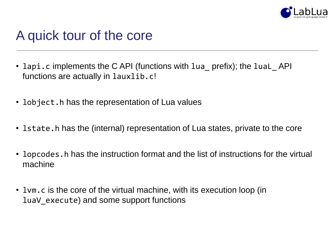

## A quick tour of the core

- lapi.c implements the C API (functions with lua\_ prefix); the luaL\_API functions are actually in lauxlib.c!
- lobject.h has the representation of Lua values
- lstate.h has the (internal) representation of Lua states, private to the core
- lopcodes. h has the instruction format and the list of instructions for the virtual machine
- lvm.c is the core of the virtual machine, with its execution loop (in luaV\_execute) and some support functions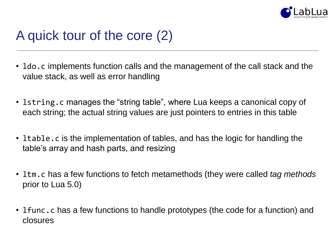

# A quick tour of the core (2)

- ldo.c implements function calls and the management of the call stack and the value stack, as well as error handling
- lstring.c manages the "string table", where Lua keeps a canonical copy of each string; the actual string values are just pointers to entries in this table
- ltable.c is the implementation of tables, and has the logic for handling the table's array and hash parts, and resizing
- ltm.c has a few functions to fetch metamethods (they were called *tag methods* prior to Lua 5.0)
- I func.c has a few functions to handle prototypes (the code for a function) and closures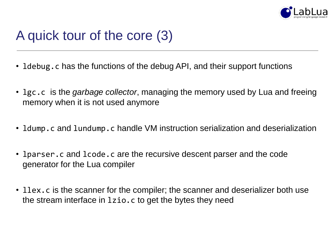

# A quick tour of the core (3)

- ldebug.c has the functions of the debug API, and their support functions
- lgc.c is the *garbage collector*, managing the memory used by Lua and freeing memory when it is not used anymore
- ldump.c and lundump.c handle VM instruction serialization and deserialization
- lparser.c and lcode.c are the recursive descent parser and the code generator for the Lua compiler
- Ilex.c is the scanner for the compiler; the scanner and deserializer both use the stream interface in lzio.c to get the bytes they need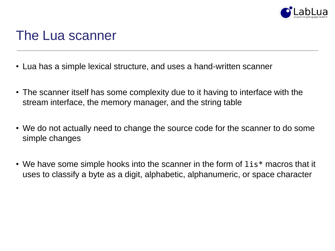

#### The Lua scanner

- Lua has a simple lexical structure, and uses a hand-written scanner
- The scanner itself has some complexity due to it having to interface with the stream interface, the memory manager, and the string table
- We do not actually need to change the source code for the scanner to do some simple changes
- We have some simple hooks into the scanner in the form of lis\* macros that it uses to classify a byte as a digit, alphabetic, alphanumeric, or space character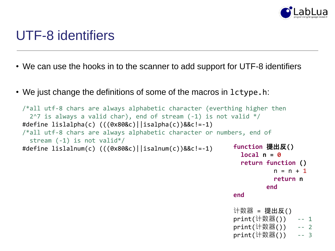

### UTF-8 identifiers

- We can use the hooks in to the scanner to add support for UTF-8 identifiers
- We just change the definitions of some of the macros in lctype.h:

```
/*all utf-8 chars are always alphabetic character (everthing higher then
 2^2 is always a valid char), end of stream (-1) is not valid */#define lislalpha(c) (((0x80&c)||isalpha(c))&&c!=-1)
/*all utf-8 chars are always alphabetic character or numbers, end of
 stream (-1) is not valid*/
#define lislalnum(c) (((0x80&c)||isalnum(c))&&c!=-1) function 提出反()
                                                           local n = 0
                                                           return function ()
                                                                   n = n + 1return n
```
**end**

**end**

计数器 = 提出反() print(计数器()) -- 1 print(计数器()) -- 2 print(计数器()) -- 3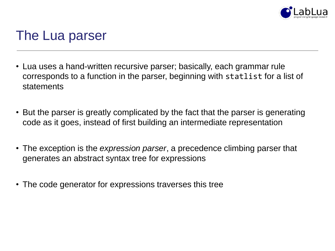

#### The Lua parser

- Lua uses a hand-written recursive parser; basically, each grammar rule corresponds to a function in the parser, beginning with statlist for a list of statements
- But the parser is greatly complicated by the fact that the parser is generating code as it goes, instead of first building an intermediate representation
- The exception is the *expression parser*, a precedence climbing parser that generates an abstract syntax tree for expressions
- The code generator for expressions traverses this tree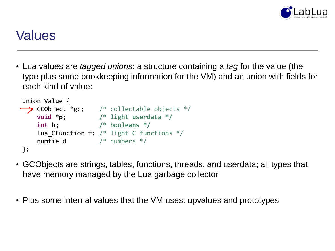

### Values

• Lua values are *tagged unions*: a structure containing a *tag* for the value (the type plus some bookkeeping information for the VM) and an union with fields for each kind of value:

| union Value {                           |                                              |
|-----------------------------------------|----------------------------------------------|
| $\rightarrow$ GCObject $*_{{\tt gc}}$ ; | /* collectable objects $*/$                  |
| void *p;                                | $/*$ light userdata $*/$                     |
| int b;                                  | $/*$ booleans $*/$                           |
|                                         | lua CFunction f; $/*$ light C functions $*/$ |
| numfield                                | $/*$ numbers $*/$                            |
| −} ;                                    |                                              |

- GCObjects are strings, tables, functions, threads, and userdata; all types that have memory managed by the Lua garbage collector
- Plus some internal values that the VM uses: upvalues and prototypes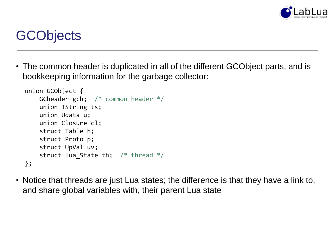

# **GCObjects**

• The common header is duplicated in all of the different GCObject parts, and is bookkeeping information for the garbage collector:

```
union GCObject {
   GCheader gch; /* common header */
   union TString ts;
   union Udata u;
   union Closure cl;
   struct Table h;
   struct Proto p;
   struct UpVal uv;
    struct lua_State th; /* thread */};
```
• Notice that threads are just Lua states; the difference is that they have a link to, and share global variables with, their parent Lua state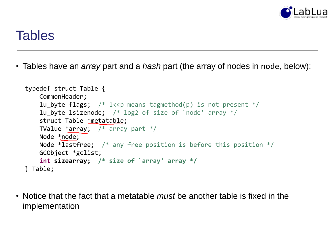

#### **Tables**

• Tables have an *array* part and a *hash* part (the array of nodes in node, below):

```
typedef struct Table {
   CommonHeader;
   lu byte flags; /* 1<<p means tagmethod(p) is not present */lu byte lsizenode; /* log2 of size of `node' array */struct Table *metatable;
   TValue *array; /* array part */Node *node;
   Node *lastfree; /* any free position is before this position */
   GCObject *gclist;
   int sizearray; /* size of `array' array */
} Table;
```
• Notice that the fact that a metatable *must* be another table is fixed in the implementation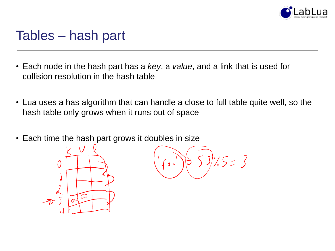

#### Tables – hash part

- Each node in the hash part has a *key*, a *value*, and a link that is used for collision resolution in the hash table
- Lua uses a has algorithm that can handle a close to full table quite well, so the hash table only grows when it runs out of space
- Each time the hash part grows it doubles in size



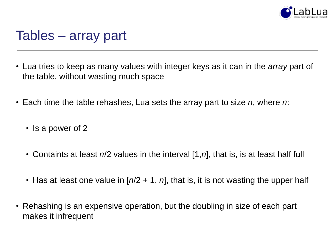

#### Tables – array part

- Lua tries to keep as many values with integer keys as it can in the *array* part of the table, without wasting much space
- Each time the table rehashes, Lua sets the array part to size *n*, where *n*:
	- Is a power of 2
	- Containts at least *n*/2 values in the interval [1,*n*], that is, is at least half full
	- Has at least one value in  $[n/2 + 1, n]$ , that is, it is not wasting the upper half
- Rehashing is an expensive operation, but the doubling in size of each part makes it infrequent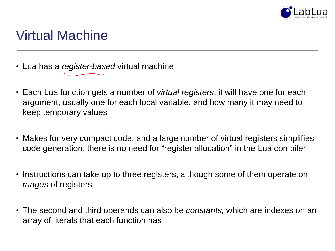

# Virtual Machine

- Lua has a *register-based* virtual machine
- Each Lua function gets a number of *virtual registers*; it will have one for each argument, usually one for each local variable, and how many it may need to keep temporary values
- Makes for very compact code, and a large number of virtual registers simplifies code generation, there is no need for "register allocation" in the Lua compiler
- Instructions can take up to three registers, although some of them operate on *ranges* of registers
- The second and third operands can also be *constants,* which are indexes on an array of literals that each function has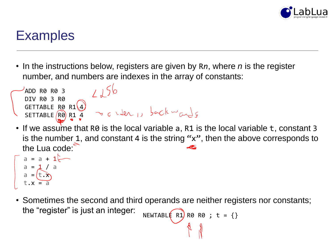

# **Examples**

ADD R0 R0 3

- In the instructions below, registers are given by R*n*, where *n* is the register number, and numbers are indexes in the array of constants:
- If we assume that R0 is the local variable a, R1 is the local variable t, constant 3 is the number 1, and constant 4 is the string "x", then the above corresponds to the Lua code: DIV R0 3 R0 GETTABLE RØ R1\4 SETTABLE (R0) R1 4

$$
a = a + 1
$$
  

$$
a = 1 / a
$$
  

$$
a = (\underbrace{t.x}_{x})
$$
  

$$
t.x = a
$$

• Sometimes the second and third operands are neither registers nor constants; the "register" is just an integer: NEWTABLE R1) R0 R0 ;  $t = \{\}$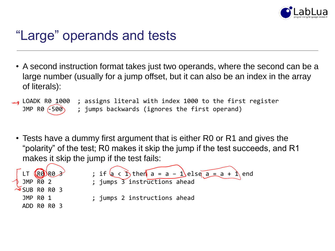

# "Large" operands and tests

• A second instruction format takes just two operands, where the second can be a large number (usually for a jump offset, but it can also be an index in the array of literals):

LOADK R0 1000 ; assigns literal with index 1000 to the first register JMP R0  $(-500)$  ; jumps backwards (ignores the first operand)

• Tests have a dummy first argument that is either R0 or R1 and gives the "polarity" of the test; R0 makes it skip the jump if the test succeeds, and R1 makes it skip the jump if the test fails:

| LT RORO 3<br>JMP RO 2     | ; if $a < b$ then $a = a - 1$ else $a = a + b$ end<br>; jumps 3 instructions ahead |
|---------------------------|------------------------------------------------------------------------------------|
| $\frac{1}{2}$ SUB RØ RØ 3 |                                                                                    |
| JMP R0 1                  | ; jumps 2 instructions ahead                                                       |
| ADD RØ RØ 3               |                                                                                    |
|                           |                                                                                    |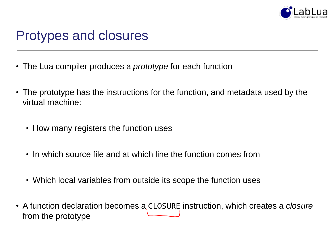

#### Protypes and closures

- The Lua compiler produces a *prototype* for each function
- The prototype has the instructions for the function, and metadata used by the virtual machine:
	- How many registers the function uses
	- In which source file and at which line the function comes from
	- Which local variables from outside its scope the function uses
- A function declaration becomes a CLOSURE instruction, which creates a *closure* from the prototype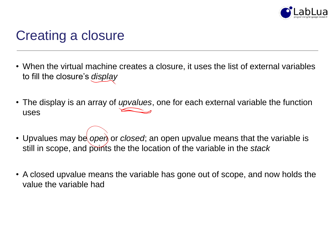

# Creating a closure

- When the virtual machine creates a closure, it uses the list of external variables to fill the closure's *display*
- The display is an array of *upvalues*, one for each external variable the function uses
- Upvalues may be *open* or *closed*; an open upvalue means that the variable is still in scope, and points the the location of the variable in the *stack*
- A closed upvalue means the variable has gone out of scope, and now holds the value the variable had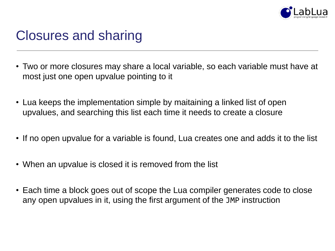

### Closures and sharing

- Two or more closures may share a local variable, so each variable must have at most just one open upvalue pointing to it
- Lua keeps the implementation simple by maitaining a linked list of open upvalues, and searching this list each time it needs to create a closure
- If no open upvalue for a variable is found, Lua creates one and adds it to the list
- When an upvalue is closed it is removed from the list
- Each time a block goes out of scope the Lua compiler generates code to close any open upvalues in it, using the first argument of the JMP instruction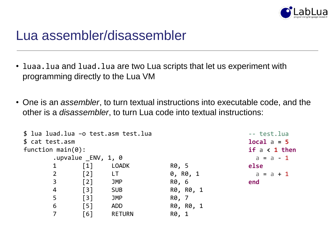

#### Lua assembler/disassembler

- luaa. lua and luad. lua are two Lua scripts that let us experiment with programming directly to the Lua VM
- One is an *assembler*, to turn textual instructions into executable code, and the other is a *disassembler*, to turn Lua code into textual instructions:

```
$ lua luad.lua –o test.asm test.lua
$ cat test.asm
function main(0): 
     .upvalue ENV, 1, 0
     1 [1] LOADK R0, 5
     2 [2] LT 0, R0, 1
     3 [2] JMP R0, 6
     4 [3] SUB R0, R0, 1
     5 [3] JMP R0, 7
     6 [5] ADD R0, R0, 1
     7 [6] RETURN R0, 1
                                        -- test.lua
                                        local a = 5
                                        if a < 1 then
                                         a = a - 1else
                                        a = a + 1end
```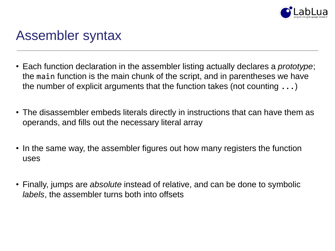

### Assembler syntax

- Each function declaration in the assembler listing actually declares a *prototype*; the main function is the main chunk of the script, and in parentheses we have the number of explicit arguments that the function takes (not counting  $\ldots$ )
- The disassembler embeds literals directly in instructions that can have them as operands, and fills out the necessary literal array
- In the same way, the assembler figures out how many registers the function uses
- Finally, jumps are *absolute* instead of relative, and can be done to symbolic *labels*, the assembler turns both into offsets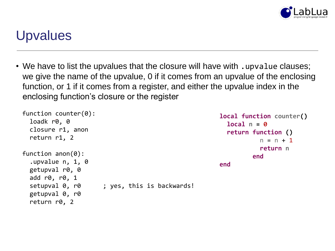

### **Upvalues**

• We have to list the upvalues that the closure will have with . upvalue clauses; we give the name of the upvalue, 0 if it comes from an upvalue of the enclosing function, or 1 if it comes from a register, and either the upvalue index in the enclosing function's closure or the register

```
function counter(0):
  loadk r0, 0
  closure r1, anon
  return r1, 2
function anon(0):
  .upvalue n, 1, 0
 getupval r0, 0
  add r0, r0, 1
  setupval 0, r0 ; yes, this is backwards!
 getupval 0, r0
  return r0, 2
                                                      local function counter()
                                                        local n = 0
                                                        return function ()
                                                                  n = n + 1return n
                                                                end
                                                      end
```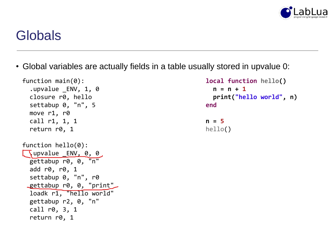

## **Globals**

• Global variables are actually fields in a table usually stored in upvalue 0:

```
function main(0):
  .upvalue _ENV, 1, 0
  closure r0, hello
  settabup 0, "n", 5
 move r1, r0
 call r1, 1, 1
  return r0, 1
function hello(0):
  \sqrt{ }upvalue _ENV, 0, 0
  gettabup r0, 0, "n"
  add r0, r0, 1
  settabup 0, "n", r0
 gettabup r0, 0, "print"
  loadk r1, "hello world"
 gettabup r2, 0, "n"
  call r0, 3, 1
  return r0, 1
```

```
local function hello()
 n = n + 1
 print("hello world", n)
end
```

```
n = 5
hello()
```